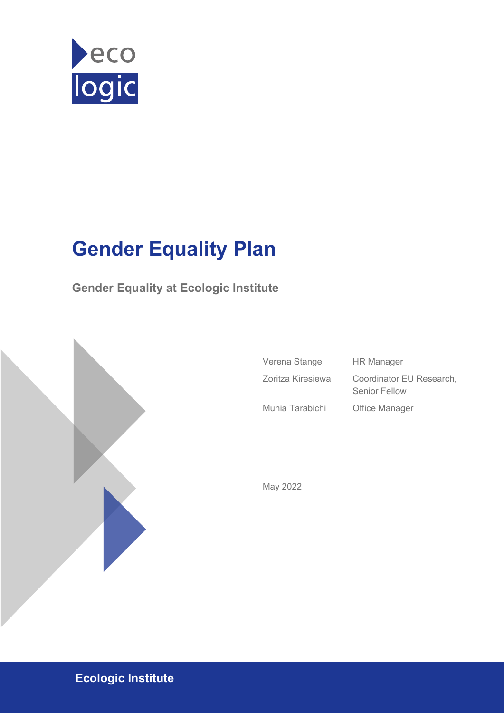

# **Gender Equality Plan**

**Gender Equality at Ecologic Institute**



| Verena Stange     | <b>HR Manager</b>                                |
|-------------------|--------------------------------------------------|
| Zoritza Kiresiewa | Coordinator EU Research,<br><b>Senior Fellow</b> |
| Munia Tarabichi   | Office Manager                                   |

May 2022

**Ecologic Institute**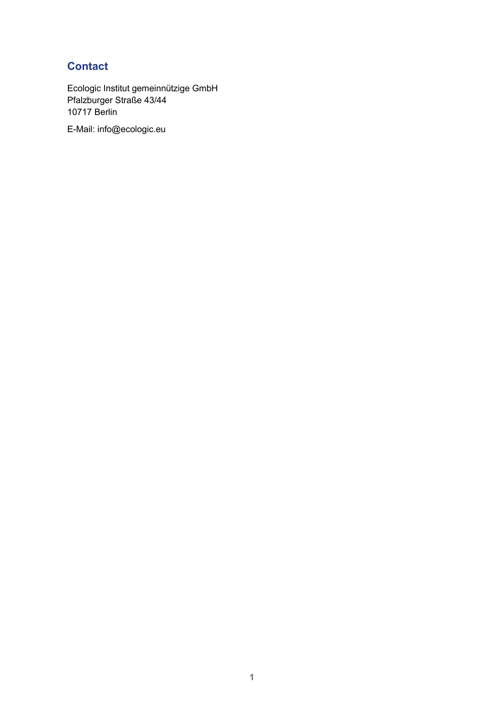### <span id="page-1-0"></span>**Contact**

Ecologic Institut gemeinnützige GmbH Pfalzburger Straße 43/44 10717 Berlin E-Mail: info@ecologic.eu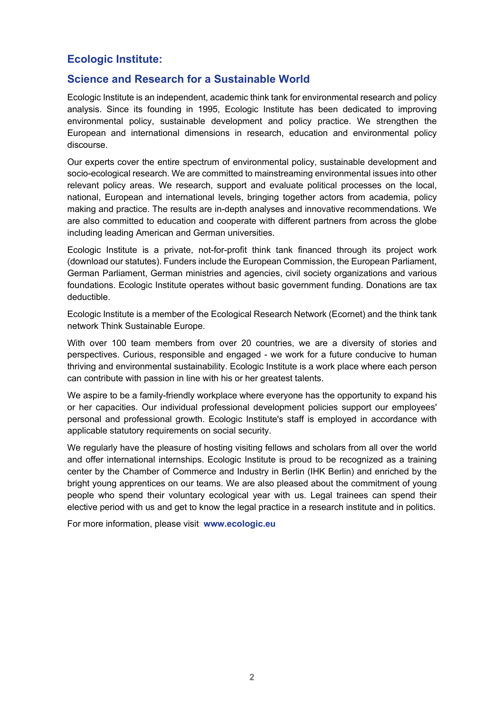### **Ecologic Institute:**

#### **Science and Research for a Sustainable World**

Ecologic Institute is an independent, academic think tank for environmental research and policy analysis. Since its founding in 1995, Ecologic Institute has been dedicated to improving environmental policy, sustainable development and policy practice. We strengthen the European and international dimensions in research, education and environmental policy discourse.

Our experts cover the entire spectrum of environmental policy, sustainable development and socio-ecological research. We are committed to mainstreaming environmental issues into other relevant policy areas. We research, support and evaluate political processes on the local, national, European and international levels, bringing together actors from academia, policy making and practice. The results are in-depth analyses and innovative recommendations. We are also committed to education and cooperate with different partners from across the globe including leading American and German universities.

Ecologic Institute is a private, not-for-profit think tank financed through its project work (download our statutes). Funders include the European Commission, the European Parliament, German Parliament, German ministries and agencies, civil society organizations and various foundations. Ecologic Institute operates without basic government funding. Donations are tax deductible.

Ecologic Institute is a member of the Ecological Research Network (Ecornet) and the think tank network Think Sustainable Europe.

With over 100 team members from over 20 countries, we are a diversity of stories and perspectives. Curious, responsible and engaged - we work for a future conducive to human thriving and environmental sustainability. Ecologic Institute is a work place where each person can contribute with passion in line with his or her greatest talents.

We aspire to be a family-friendly workplace where everyone has the opportunity to expand his or her capacities. Our individual professional development policies support our employees' personal and professional growth. Ecologic Institute's staff is employed in accordance with applicable statutory requirements on social security.

We regularly have the pleasure of hosting visiting fellows and scholars from all over the world and offer international internships. Ecologic Institute is proud to be recognized as a training center by the Chamber of Commerce and Industry in Berlin (IHK Berlin) and enriched by the bright young apprentices on our teams. We are also pleased about the commitment of young people who spend their voluntary ecological year with us. Legal trainees can spend their elective period with us and get to know the legal practice in a research institute and in politics.

For more information, please visit: **[www.ecologic.eu](http://www.ecologic.eu/)**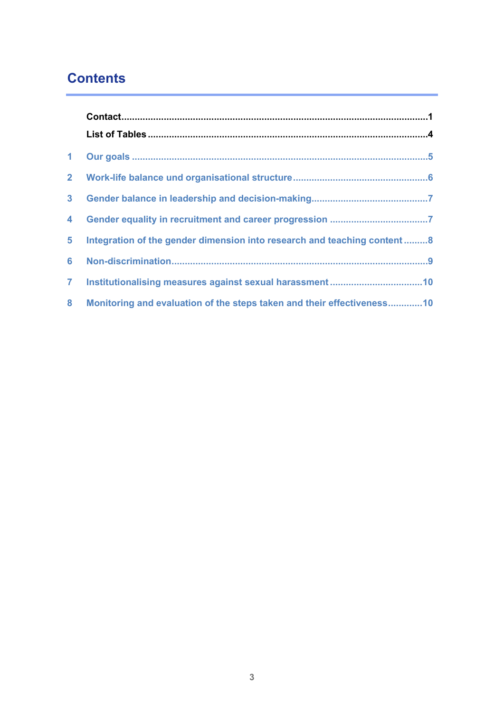### **Contents**

| $\overline{4}$ |                                                                         |  |
|----------------|-------------------------------------------------------------------------|--|
| 5 <sub>1</sub> | Integration of the gender dimension into research and teaching content8 |  |
|                |                                                                         |  |
| 7 <sup>7</sup> |                                                                         |  |
| 8              | Monitoring and evaluation of the steps taken and their effectiveness10  |  |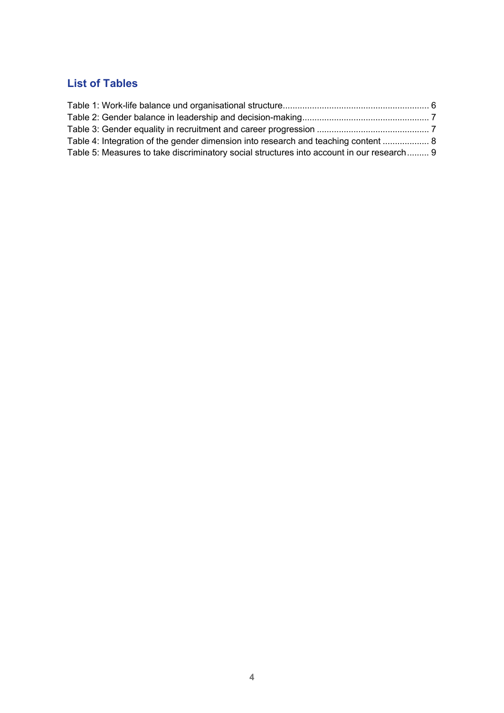### <span id="page-4-0"></span>**List of Tables**

| Table 4: Integration of the gender dimension into research and teaching content  8        |  |
|-------------------------------------------------------------------------------------------|--|
| Table 5: Measures to take discriminatory social structures into account in our research 9 |  |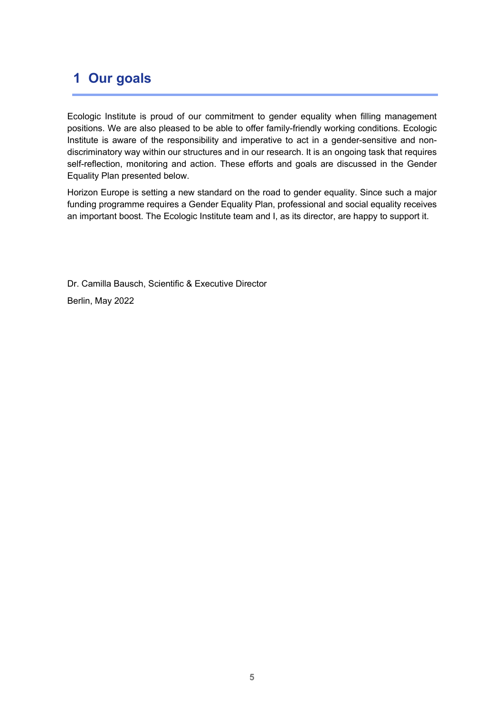### <span id="page-5-0"></span>**1 Our goals**

Ecologic Institute is proud of our commitment to gender equality when filling management positions. We are also pleased to be able to offer family-friendly working conditions. Ecologic Institute is aware of the responsibility and imperative to act in a gender-sensitive and nondiscriminatory way within our structures and in our research. It is an ongoing task that requires self-reflection, monitoring and action. These efforts and goals are discussed in the Gender Equality Plan presented below.

Horizon Europe is setting a new standard on the road to gender equality. Since such a major funding programme requires a Gender Equality Plan, professional and social equality receives an important boost. The Ecologic Institute team and I, as its director, are happy to support it.

Dr. Camilla Bausch, Scientific & Executive Director Berlin, May 2022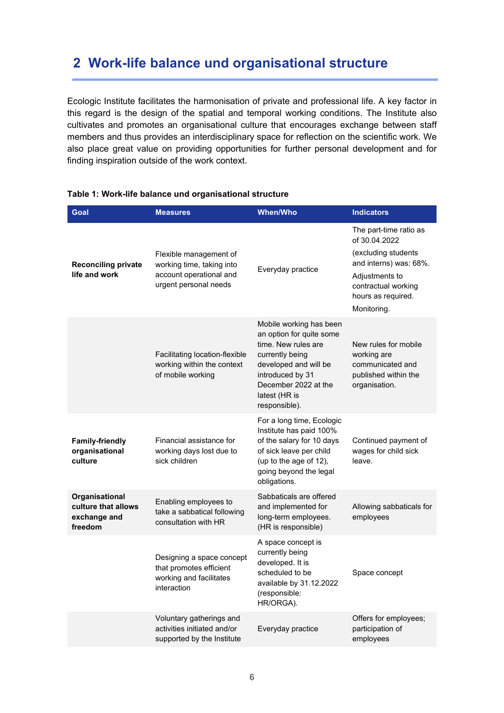### <span id="page-6-0"></span>**2 Work-life balance und organisational structure**

Ecologic Institute facilitates the harmonisation of private and professional life. A key factor in this regard is the design of the spatial and temporal working conditions. The Institute also cultivates and promotes an organisational culture that encourages exchange between staff members and thus provides an interdisciplinary space for reflection on the scientific work. We also place great value on providing opportunities for further personal development and for finding inspiration outside of the work context.

| Goal                                                             | <b>Measures</b>                                                                                         | <b>When/Who</b>                                                                                                                                                                                      | <b>Indicators</b>                                                                                                                                                      |
|------------------------------------------------------------------|---------------------------------------------------------------------------------------------------------|------------------------------------------------------------------------------------------------------------------------------------------------------------------------------------------------------|------------------------------------------------------------------------------------------------------------------------------------------------------------------------|
| <b>Reconciling private</b><br>life and work                      | Flexible management of<br>working time, taking into<br>account operational and<br>urgent personal needs | Everyday practice                                                                                                                                                                                    | The part-time ratio as<br>of 30.04.2022<br>(excluding students<br>and interns) was: 68%.<br>Adjustments to<br>contractual working<br>hours as required.<br>Monitoring. |
|                                                                  | Facilitating location-flexible<br>working within the context<br>of mobile working                       | Mobile working has been<br>an option for quite some<br>time. New rules are<br>currently being<br>developed and will be<br>introduced by 31<br>December 2022 at the<br>latest (HR is<br>responsible). | New rules for mobile<br>working are<br>communicated and<br>published within the<br>organisation.                                                                       |
| <b>Family-friendly</b><br>organisational<br>culture              | Financial assistance for<br>working days lost due to<br>sick children                                   | For a long time, Ecologic<br>Institute has paid 100%<br>of the salary for 10 days<br>of sick leave per child<br>(up to the age of 12),<br>going beyond the legal<br>obligations.                     | Continued payment of<br>wages for child sick<br>leave.                                                                                                                 |
| Organisational<br>culture that allows<br>exchange and<br>freedom | Enabling employees to<br>take a sabbatical following<br>consultation with HR                            | Sabbaticals are offered<br>and implemented for<br>long-term employees.<br>(HR is responsible)                                                                                                        | Allowing sabbaticals for<br>employees                                                                                                                                  |
|                                                                  | Designing a space concept<br>that promotes efficient<br>working and facilitates<br>interaction          | A space concept is<br>currently being<br>developed. It is<br>scheduled to be<br>available by 31.12.2022<br>(responsible:<br>HR/ORGA).                                                                | Space concept                                                                                                                                                          |
|                                                                  | Voluntary gatherings and<br>activities initiated and/or<br>supported by the Institute                   | Everyday practice                                                                                                                                                                                    | Offers for employees;<br>participation of<br>employees                                                                                                                 |

#### <span id="page-6-1"></span>**Table 1: Work-life balance und organisational structure**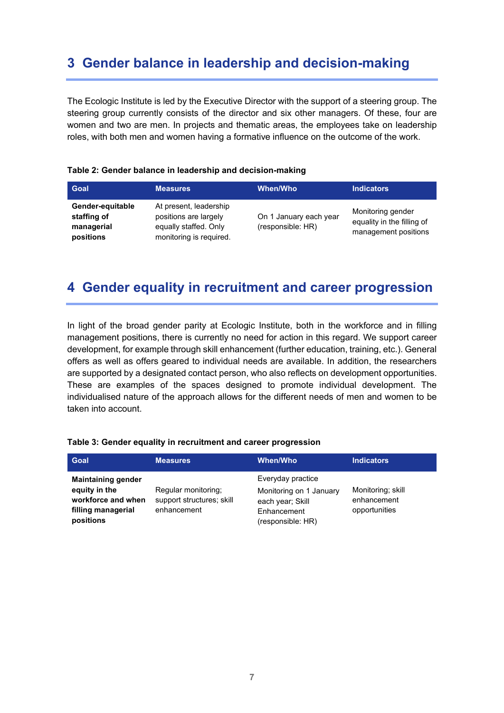### <span id="page-7-0"></span>**3 Gender balance in leadership and decision-making**

The Ecologic Institute is led by the Executive Director with the support of a steering group. The steering group currently consists of the director and six other managers. Of these, four are women and two are men. In projects and thematic areas, the employees take on leadership roles, with both men and women having a formative influence on the outcome of the work.

#### <span id="page-7-2"></span>**Table 2: Gender balance in leadership and decision-making**

| Goal                                                       | <b>Measures</b>                                                                                     | <b>When/Who</b>                             | <b>Indicators</b>                                                       |
|------------------------------------------------------------|-----------------------------------------------------------------------------------------------------|---------------------------------------------|-------------------------------------------------------------------------|
| Gender-equitable<br>staffing of<br>managerial<br>positions | At present, leadership<br>positions are largely<br>equally staffed. Only<br>monitoring is required. | On 1 January each year<br>(responsible: HR) | Monitoring gender<br>equality in the filling of<br>management positions |

### <span id="page-7-1"></span>**4 Gender equality in recruitment and career progression**

In light of the broad gender parity at Ecologic Institute, both in the workforce and in filling management positions, there is currently no need for action in this regard. We support career development, for example through skill enhancement (further education, training, etc.). General offers as well as offers geared to individual needs are available. In addition, the researchers are supported by a designated contact person, who also reflects on development opportunities. These are examples of the spaces designed to promote individual development. The individualised nature of the approach allows for the different needs of men and women to be taken into account.

#### **Goal Measures When/Who Indicators Maintaining gender equity in the workforce and when filling managerial positions** Regular monitoring; support structures; skill enhancement Everyday practice Monitoring on 1 January each year; Skill Enhancement (responsible: HR) Monitoring; skill enhancement opportunities

#### <span id="page-7-3"></span>**Table 3: Gender equality in recruitment and career progression**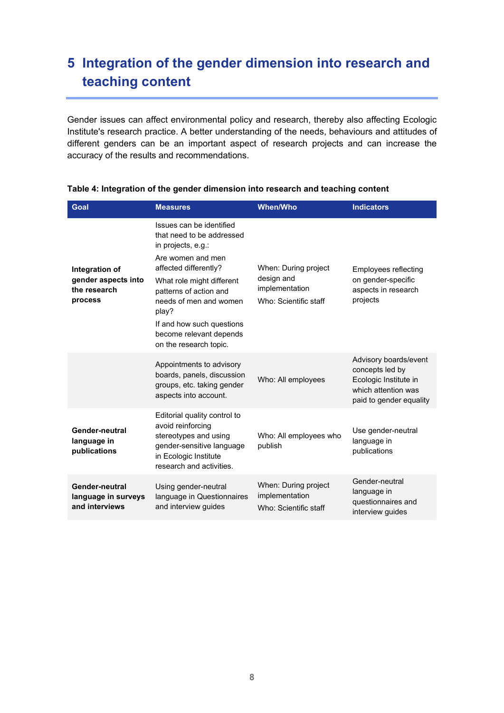### <span id="page-8-0"></span>**5 Integration of the gender dimension into research and teaching content**

Gender issues can affect environmental policy and research, thereby also affecting Ecologic Institute's research practice. A better understanding of the needs, behaviours and attitudes of different genders can be an important aspect of research projects and can increase the accuracy of the results and recommendations.

| Goal                                                             | <b>Measures</b>                                                                                                                                                                                                                                                                                       | <b>When/Who</b>                                                               | <b>Indicators</b>                                                                                                   |
|------------------------------------------------------------------|-------------------------------------------------------------------------------------------------------------------------------------------------------------------------------------------------------------------------------------------------------------------------------------------------------|-------------------------------------------------------------------------------|---------------------------------------------------------------------------------------------------------------------|
| Integration of<br>gender aspects into<br>the research<br>process | Issues can be identified<br>that need to be addressed<br>in projects, e.g.:<br>Are women and men<br>affected differently?<br>What role might different<br>patterns of action and<br>needs of men and women<br>play?<br>If and how such questions<br>become relevant depends<br>on the research topic. | When: During project<br>design and<br>implementation<br>Who: Scientific staff | <b>Employees reflecting</b><br>on gender-specific<br>aspects in research<br>projects                                |
|                                                                  | Appointments to advisory<br>boards, panels, discussion<br>groups, etc. taking gender<br>aspects into account.                                                                                                                                                                                         | Who: All employees                                                            | Advisory boards/event<br>concepts led by<br>Ecologic Institute in<br>which attention was<br>paid to gender equality |
| Gender-neutral<br>language in<br>publications                    | Editorial quality control to<br>avoid reinforcing<br>stereotypes and using<br>gender-sensitive language<br>in Ecologic Institute<br>research and activities.                                                                                                                                          | Who: All employees who<br>publish                                             | Use gender-neutral<br>language in<br>publications                                                                   |
| Gender-neutral<br>language in surveys<br>and interviews          | Using gender-neutral<br>language in Questionnaires<br>and interview guides                                                                                                                                                                                                                            | When: During project<br>implementation<br>Who: Scientific staff               | Gender-neutral<br>language in<br>questionnaires and<br>interview guides                                             |

#### <span id="page-8-1"></span>**Table 4: Integration of the gender dimension into research and teaching content**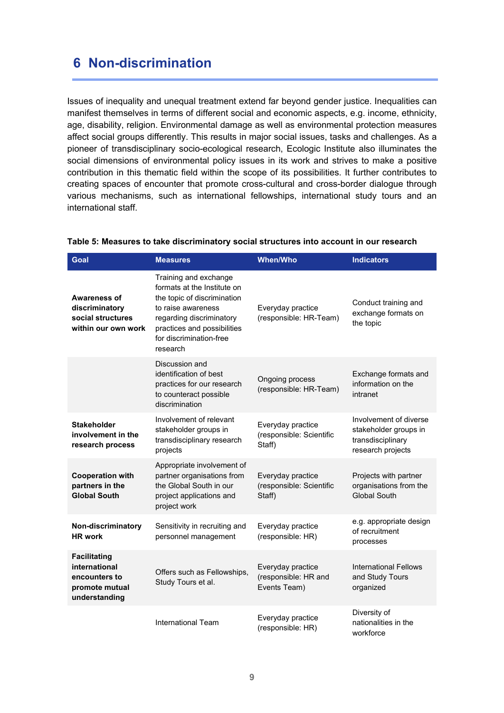### <span id="page-9-0"></span>**6 Non-discrimination**

Issues of inequality and unequal treatment extend far beyond gender justice. Inequalities can manifest themselves in terms of different social and economic aspects, e.g. income, ethnicity, age, disability, religion. Environmental damage as well as environmental protection measures affect social groups differently. This results in major social issues, tasks and challenges. As a pioneer of transdisciplinary socio-ecological research, Ecologic Institute also illuminates the social dimensions of environmental policy issues in its work and strives to make a positive contribution in this thematic field within the scope of its possibilities. It further contributes to creating spaces of encounter that promote cross-cultural and cross-border dialogue through various mechanisms, such as international fellowships, international study tours and an international staff.

| Goal                                                                                     | <b>Measures</b>                                                                                                                                                                                             | <b>When/Who</b>                                           | <b>Indicators</b>                                                                         |
|------------------------------------------------------------------------------------------|-------------------------------------------------------------------------------------------------------------------------------------------------------------------------------------------------------------|-----------------------------------------------------------|-------------------------------------------------------------------------------------------|
| <b>Awareness of</b><br>discriminatory<br>social structures<br>within our own work        | Training and exchange<br>formats at the Institute on<br>the topic of discrimination<br>to raise awareness<br>regarding discriminatory<br>practices and possibilities<br>for discrimination-free<br>research | Everyday practice<br>(responsible: HR-Team)               | Conduct training and<br>exchange formats on<br>the topic                                  |
|                                                                                          | Discussion and<br>identification of best<br>practices for our research<br>to counteract possible<br>discrimination                                                                                          | Ongoing process<br>(responsible: HR-Team)                 | Exchange formats and<br>information on the<br>intranet                                    |
| <b>Stakeholder</b><br>involvement in the<br>research process                             | Involvement of relevant<br>stakeholder groups in<br>transdisciplinary research<br>projects                                                                                                                  | Everyday practice<br>(responsible: Scientific<br>Staff)   | Involvement of diverse<br>stakeholder groups in<br>transdisciplinary<br>research projects |
| <b>Cooperation with</b><br>partners in the<br><b>Global South</b>                        | Appropriate involvement of<br>partner organisations from<br>the Global South in our<br>project applications and<br>project work                                                                             | Everyday practice<br>(responsible: Scientific<br>Staff)   | Projects with partner<br>organisations from the<br><b>Global South</b>                    |
| Non-discriminatory<br><b>HR</b> work                                                     | Sensitivity in recruiting and<br>personnel management                                                                                                                                                       | Everyday practice<br>(responsible: HR)                    | e.g. appropriate design<br>of recruitment<br>processes                                    |
| <b>Facilitating</b><br>international<br>encounters to<br>promote mutual<br>understanding | Offers such as Fellowships,<br>Study Tours et al.                                                                                                                                                           | Everyday practice<br>(responsible: HR and<br>Events Team) | <b>International Fellows</b><br>and Study Tours<br>organized                              |
|                                                                                          | <b>International Team</b>                                                                                                                                                                                   | Everyday practice<br>(responsible: HR)                    | Diversity of<br>nationalities in the<br>workforce                                         |

#### <span id="page-9-1"></span>**Table 5: Measures to take discriminatory social structures into account in our research**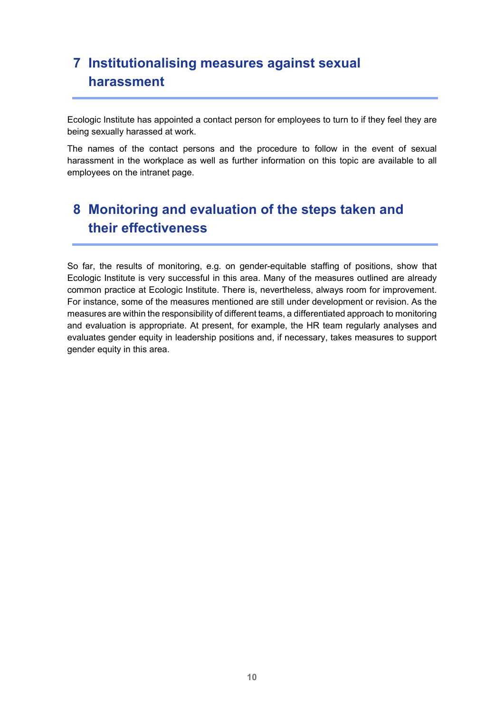### <span id="page-10-0"></span>**7 Institutionalising measures against sexual harassment**

Ecologic Institute has appointed a contact person for employees to turn to if they feel they are being sexually harassed at work.

The names of the contact persons and the procedure to follow in the event of sexual harassment in the workplace as well as further information on this topic are available to all employees on the intranet page.

## <span id="page-10-1"></span>**8 Monitoring and evaluation of the steps taken and their effectiveness**

So far, the results of monitoring, e.g. on gender-equitable staffing of positions, show that Ecologic Institute is very successful in this area. Many of the measures outlined are already common practice at Ecologic Institute. There is, nevertheless, always room for improvement. For instance, some of the measures mentioned are still under development or revision. As the measures are within the responsibility of different teams, a differentiated approach to monitoring and evaluation is appropriate. At present, for example, the HR team regularly analyses and evaluates gender equity in leadership positions and, if necessary, takes measures to support gender equity in this area.